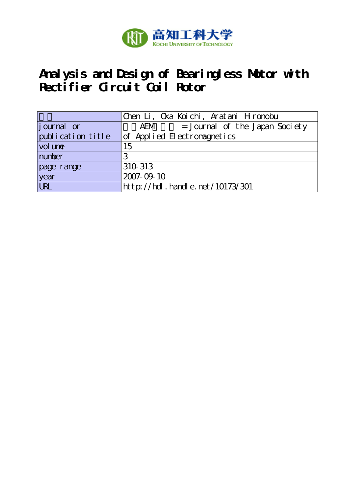

# **Analysis and Design of Bearingless Motor with Rectifier Circuit Coil Rotor**

|                   | Chen Li, Cka Koichi, Aratani Hironobu |
|-------------------|---------------------------------------|
| journal or        | = Journal of the Japan Society<br>AEM |
| publication title | of Applied Electromagnetics           |
| vol une           | 15                                    |
| number            | 3                                     |
| page range        | 310 313                               |
| year<br>URL       | 2007-09-10                            |
|                   | http://hdl.handle.net/10173/301       |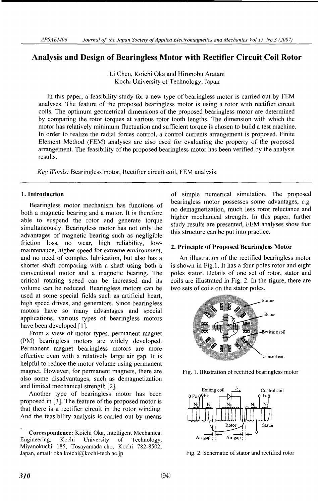# Analysis and Design of Bearingless Motor with Rectifier Circuit Coil Rotor

Li Chen, Koichi Oka and Hironobu Aratani Kochi University of Technology, Japan

In this paper, a feasibility study for a new type of bearingless motor is carried out by FEM analyses. The feature of the proposed bearingless motor is using a rotor with rectifier circuit coils. The optimum geometrical dimensions of the proposed bearingless motor are determined by comparing the rotor torques at various rotor tooth lengths. The dimension with which the motor has relatively minimum fluctuation and sufficient torque is chosen to build a test machine. In order to realize the radial forces control, a control currents arrangement is proposed. Finite Element Method (FEM) analyses are also used for evaluating the property of the proposed arrangement. The feasibility of the proposed bearingless motor has been verified by the analysis results.

Key Words: Bearingless motor, Rectifier circuit coil, FEM analysis.

# 1. Introduction

Bearingless motor mechanism has functions of both a magnetic bearing and a motor. It is therefore able to suspend the rotor and generate torque simultaneously. Bearingless motor has not only the advantages of magnetic bearing such as negligible friction loss, no wear, high reliability, lowmaintenance, higher speed for extreme environment, and no need of complex lubrication, but also has a shorter shaft comparing with a shaft using both a conventional motor and a magnetic bearing. The critical rotating speed can be increased and its volume can be reduced. Bearingless motors can be used at some special fields such as artificial heart, high speed drives, and generators. Since bearingless motors have so many advantages and special applications, various types of bearingless motors have been developed [1].

From a view of motor types, permanent magnet (PM) bearingless motors are widely developed. Permanent magnet bearingless motors are more effective even with a relatively large air gap. It is helpful to reduce the motor volume using permanent magnet. However, for permanent magnets, there are also some disadvantages, such as demagnetization and limited mechanical strength [2].

Another type of bearingless motor has been proposed in [3]. The feature of the proposed motor is that there is a rectifier circuit in the rotor winding. And the feasibility analysis is carried out by means of simple numerical simulation. The proposed bearingless motor possesses some advantages, e.g. no demagnetization, much less rotor reluctance and higher mechanical strength. In this paper, further study results are presented, FEM analyses show that this structure can be put into practice.

# 2. Principle of Proposed Bearingless Motor

An illustration of the rectified bearingless motor is shown in Fig.1. It has a four poles rotor and eight poles stator. Details of one set of rotor, stator and coils are illustrated in Fig. 2. In the figure, there are two sets of coils on the stator poles.



Fig. 1. Illustration of rectified bearingless motor



Fig. 2. Schematic of stator and rectified rotor

**Correspondence:** Koichi Oka, Intelligent Mechanical<br>Engineering, Kochi University of Technology, Engineering, Kochi University of Technology,  $M$ iyanokuchi 185, Tosayamada-cho, Kochi 782-850 Japan, email: oka.koichi@kochi-tech.ac.jp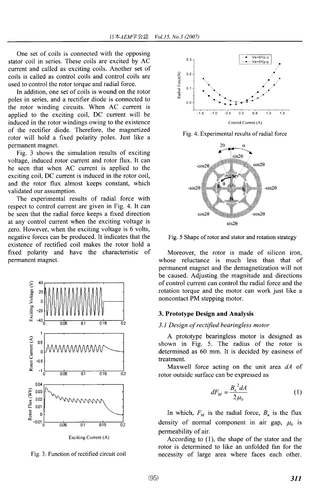One set of coils is connected with the opposing stator coil in series. These coils are excited by AC current and called as exciting coils. Another set of coils is called as control coils and control coils are used to control the rotor torque and radial force.

In addition, one set of coils is wound on the rotor poles in series, and a rectifier diode is connected to the rotor winding circuits. When AC current is applied to the exciting coil, DC current will be induced in the rotor windings owing to the existence of the rectifier diode. Therefore, the magnetized rotor will hold a fixed polarity poles. Just like a permanent magnet.

Fig. 3 shows the simulation results of exciting voltage, induced rotor current and rotor flux. It can be seen that when AC current is applied to the exciting coil, DC current is induced in the rotor coil, and the rotor flux almost keeps constant, which validated our assumption.

The experimental results of radial force with respect to control current are given in Fig. 4. It can be seen that the radial force keeps a fixed direction at any control current when the exciting voltage is zero. However, when the exciting voltage is 6 volts, negative forces can be produced. It indicates that the existence of rectified coil makes the rotor hold a fixed polarity and have the characteristic of permanent magnet.



Fig. 3. Function of rectified circuit coil



Fig. 4. Experimental results of radial force



Fig. 5 Shape of rotor and stator and rotation strategy

Moreover, the rotor is made of silicon iron, whose reluctance is much less than that of permanent magnet and the demagnetization will not be caused. Adjusting the magnitude and directions of control current can control the radial force and the rotation torque and the motor can work just like a noncontact PM stepping motor.

#### 3. Prototype Design and Analysis

#### 3.1 Design of rectified bearingless motor

A prototype bearingless motor is designed as shown in Fig. 5. The radius of the rotor is determined as 60 mm. It is decided by easiness of treatment.

Maxwell force acting on the unit area  $dA$  of rotor outside surface can be expressed as

$$
dF_M = \frac{B_n^2 dA}{2\mu_0} \tag{1}
$$

In which,  $F_M$  is the radial force,  $B_n$  is the flux density of normal component in air gap,  $\mu_0$  is permeability of air.

According to  $(1)$ , the shape of the stator and the rotor is determined to like an unfolded fan for the necessity of large area where faces each other.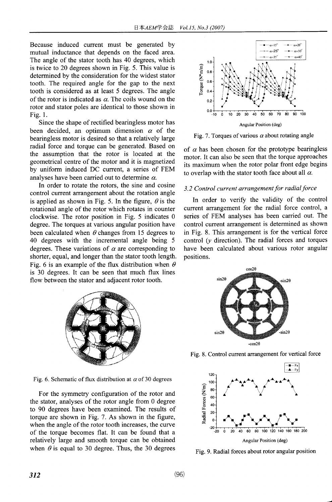Because induced current must be generated by mutual inductance that depends on the faced area. The angle of the stator tooth has 40 degrees, which is twice to 20 degrees shown in Fig. 5. This value is determined by the consideration for the widest stator tooth. The required angle for the gap to the next tooth is considered as at least 5 degrees. The angle of the rotor is indicated as  $\alpha$ . The coils wound on the rotor and stator poles are identical to those shown in Fig.1.

Since the shape of rectified bearingless motor has been decided, an optimum dimension  $\alpha$  of the bearingless motor is desired so that a relatively large radial force and torque can be generated. Based on the assumption that the rotor is located at the geometrical centre of the motor and it is magnetized by uniform induced DC current, a series of FEM analyses have been carried out to determine  $\alpha$ .

In order to rotate the rotors, the sine and cosine control current arrangement about the rotation angle is applied as shown in Fig. 5. In the figure,  $\theta$  is the rotational angle of the rotor which rotates in counter clockwise. The rotor position in Fig. 5 indicates 0 degree. The torques at various angular position have been calculated when  $\theta$  changes from 15 degrees to 40 degrees with the incremental angle being 5 degrees. These variations of  $\alpha$  are corresponding to shorter, equal, and longer than the stator tooth length. Fig. 6 is an example of the flux distribution when  $\theta$ is <sup>30</sup> degrees. It can be seen that much flux lines flow between the stator and adjacent rotor tooth.



Fig. 6. Schematic of flux distribution at  $\alpha$  of 30 degrees

For the symmetry configuration of the rotor and the stator, analyses of the rotor angle from 0 degree to 90 degrees have been examined. The results of torque are shown in Fig. 7. As shown in the figure, when the angle of the rotor tooth increases, the curve of the torque becomes flat. It can be found that a relatively large and smooth torque can be obtained when  $\theta$  is equal to 30 degree. Thus, the 30 degrees



Fig. 7. Torques of various  $\alpha$  about rotating angle

of  $\alpha$  has been chosen for the prototype bearingless motor. It can also be seen that the torque approaches its maximum when the rotor polar front edge begins to overlap with the stator tooth face about all  $\alpha$ .

# 3.2 Control current arrangement for radial force

In order to verify the validity of the control current arrangement for the radial force control, a series of FEM analyses has been carried out. The control current arrangement is determined as shown in Fig. 8. This arrangement is for the vertical force control  $(y$  direction). The radial forces and torques have been calculated about various rotor angular positions.



Fig. 8. Control current arrangement for vertical force



Fig. 9. Radial forces about rotor angular position